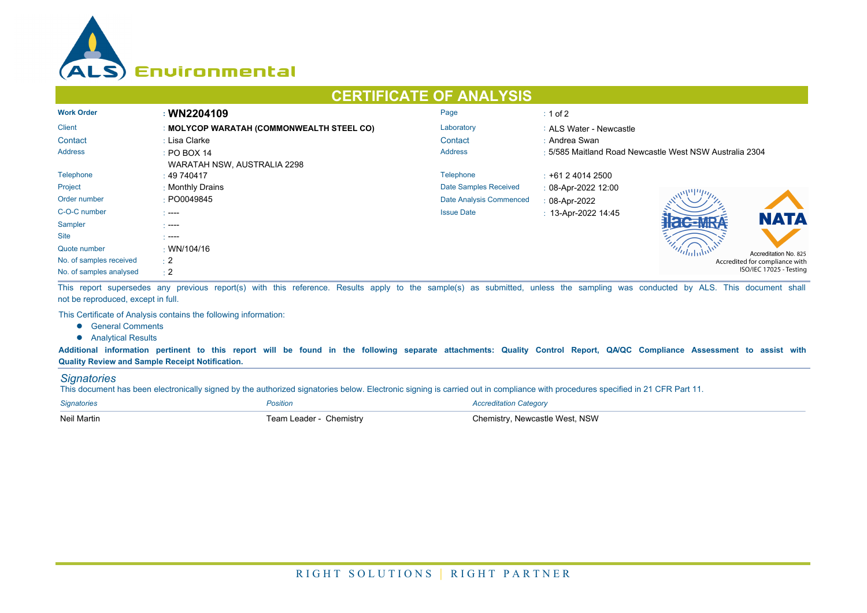

## **CERTIFICATE OF ANALYSIS**

| <b>Work Order</b>       | : WN2204109                               | Page                    | $\div$ 1 of 2                                           |  |  |
|-------------------------|-------------------------------------------|-------------------------|---------------------------------------------------------|--|--|
| <b>Client</b>           | : MOLYCOP WARATAH (COMMONWEALTH STEEL CO) | Laboratory              | : ALS Water - Newcastle                                 |  |  |
| Contact                 | : Lisa Clarke                             | Contact                 | : Andrea Swan                                           |  |  |
| <b>Address</b>          | $\div$ PO BOX 14                          | <b>Address</b>          | : 5/585 Maitland Road Newcastle West NSW Australia 2304 |  |  |
|                         | WARATAH NSW, AUSTRALIA 2298               |                         |                                                         |  |  |
| Telephone               | : 49740417                                | Telephone               | $\div$ +61 2 4014 2500                                  |  |  |
| Project                 | : Monthly Drains                          | Date Samples Received   | $: 08 - Apr - 2022$ 12:00                               |  |  |
| Order number            | : PO0049845                               | Date Analysis Commenced | $: 08-Apr-2022$                                         |  |  |
| C-O-C number            | $\sim$ ----                               | <b>Issue Date</b>       | $: 13$ -Apr-2022 14:45<br><b>NATA</b>                   |  |  |
| Sampler                 | - ----                                    |                         |                                                         |  |  |
| <b>Site</b>             | - ----                                    |                         |                                                         |  |  |
| Quote number            | $\cdot$ WN/104/16                         |                         | Accreditation No. 825                                   |  |  |
| No. of samples received | $\div 2$                                  |                         | Accredited for compliance with                          |  |  |
| No. of samples analysed | $\div 2$                                  |                         | ISO/IEC 17025 - Testing                                 |  |  |

This report supersedes any previous report(s) with this reference. Results apply to the sample(s) as submitted, unless the sampling was conducted by ALS. This document shall not be reproduced, except in full.

This Certificate of Analysis contains the following information:

- **•** General Comments
- **•** Analytical Results

**Additional information pertinent to this report will be found in the following separate attachments: Quality Control Report, QA/QC Compliance Assessment to assist with Quality Review and Sample Receipt Notification.**

## *Signatories*

This document has been electronically signed by the authorized signatories below. Electronic signing is carried out in compliance with procedures specified in 21 CFR Part 11.

| <b>Signatories</b> | Position                | <b>Accreditation Category</b>  |
|--------------------|-------------------------|--------------------------------|
| <b>Neil Martin</b> | Team Leader - Chemistry | Chemistry, Newcastle West, NSW |